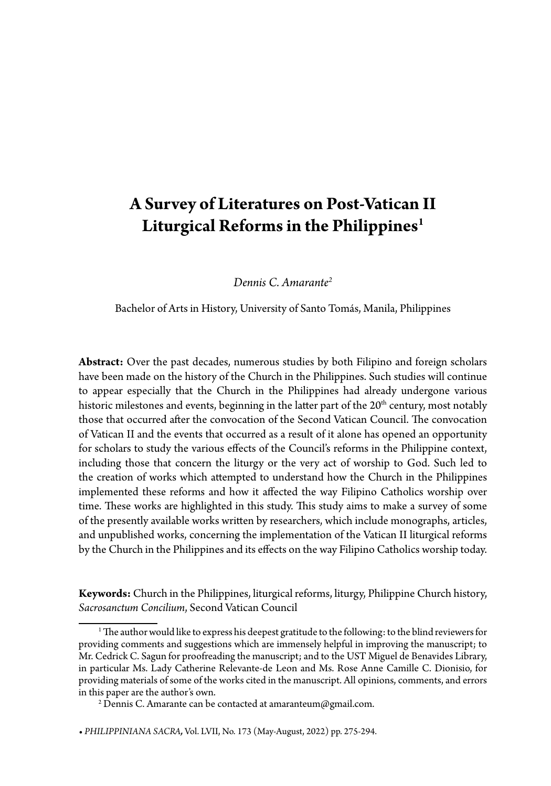# **A Survey of Literatures on Post-Vatican II Liturgical Reforms in the Philippines1**

*Dennis C. Amarante2*

Bachelor of Arts in History, University of Santo Tomás, Manila, Philippines

**Abstract:** Over the past decades, numerous studies by both Filipino and foreign scholars have been made on the history of the Church in the Philippines. Such studies will continue to appear especially that the Church in the Philippines had already undergone various historic milestones and events, beginning in the latter part of the 20<sup>th</sup> century, most notably those that occurred after the convocation of the Second Vatican Council. The convocation of Vatican II and the events that occurred as a result of it alone has opened an opportunity for scholars to study the various effects of the Council's reforms in the Philippine context, including those that concern the liturgy or the very act of worship to God. Such led to the creation of works which attempted to understand how the Church in the Philippines implemented these reforms and how it affected the way Filipino Catholics worship over time. These works are highlighted in this study. This study aims to make a survey of some of the presently available works written by researchers, which include monographs, articles, and unpublished works, concerning the implementation of the Vatican II liturgical reforms by the Church in the Philippines and its effects on the way Filipino Catholics worship today.

**Keywords:** Church in the Philippines, liturgical reforms, liturgy, Philippine Church history, *Sacrosanctum Concilium*, Second Vatican Council

 $^{\rm 1}$  The author would like to express his deepest gratitude to the following: to the blind reviewers for providing comments and suggestions which are immensely helpful in improving the manuscript; to Mr. Cedrick C. Sagun for proofreading the manuscript; and to the UST Miguel de Benavides Library, in particular Ms. Lady Catherine Relevante-de Leon and Ms. Rose Anne Camille C. Dionisio, for providing materials of some of the works cited in the manuscript. All opinions, comments, and errors in this paper are the author's own.

 $^2$ Dennis C. Amarante can be contacted at amaranteum@gmail.com.

**<sup>•</sup>** *PHILIPPINIANA SACRA,* Vol. LVII, No. 173 (May-August, 2022) pp. 275-294.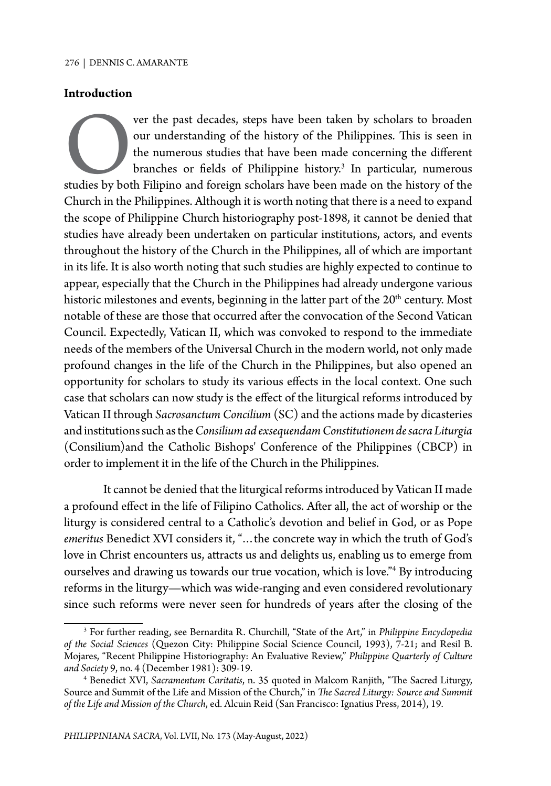#### **Introduction**

Ver the past decades, steps have been taken by scholars to broaden<br>our understanding of the history of the Philippines. This is seen in<br>the numerous studies that have been made concerning the different<br>branches or fields o our understanding of the history of the Philippines. This is seen in the numerous studies that have been made concerning the different branches or fields of Philippine history.<sup>3</sup> In particular, numerous studies by both Filipino and foreign scholars have been made on the history of the Church in the Philippines. Although it is worth noting that there is a need to expand the scope of Philippine Church historiography post-1898, it cannot be denied that studies have already been undertaken on particular institutions, actors, and events throughout the history of the Church in the Philippines, all of which are important in its life. It is also worth noting that such studies are highly expected to continue to appear, especially that the Church in the Philippines had already undergone various historic milestones and events, beginning in the latter part of the  $20<sup>th</sup>$  century. Most notable of these are those that occurred after the convocation of the Second Vatican Council. Expectedly, Vatican II, which was convoked to respond to the immediate needs of the members of the Universal Church in the modern world, not only made profound changes in the life of the Church in the Philippines, but also opened an opportunity for scholars to study its various effects in the local context. One such case that scholars can now study is the effect of the liturgical reforms introduced by Vatican II through *Sacrosanctum Concilium* (SC) and the actions made by dicasteries and institutions such as the *Consilium ad exsequendam Constitutionem de sacra Liturgia*  (Consilium)and the Catholic Bishops' Conference of the Philippines (CBCP) in order to implement it in the life of the Church in the Philippines.

It cannot be denied that the liturgical reforms introduced by Vatican II made a profound effect in the life of Filipino Catholics. After all, the act of worship or the liturgy is considered central to a Catholic's devotion and belief in God, or as Pope *emeritus* Benedict XVI considers it, "…the concrete way in which the truth of God's love in Christ encounters us, attracts us and delights us, enabling us to emerge from ourselves and drawing us towards our true vocation, which is love."4 By introducing reforms in the liturgy—which was wide-ranging and even considered revolutionary since such reforms were never seen for hundreds of years after the closing of the

<sup>3</sup> For further reading, see Bernardita R. Churchill, "State of the Art," in *Philippine Encyclopedia of the Social Sciences* (Quezon City: Philippine Social Science Council, 1993), 7-21; and Resil B. Mojares, "Recent Philippine Historiography: An Evaluative Review," *Philippine Quarterly of Culture and Society* 9, no. 4 (December 1981): 309-19.

<sup>4</sup> Benedict XVI, *Sacramentum Caritatis*, n. 35 quoted in Malcom Ranjith, "The Sacred Liturgy, Source and Summit of the Life and Mission of the Church," in *The Sacred Liturgy: Source and Summit of the Life and Mission of the Church*, ed. Alcuin Reid (San Francisco: Ignatius Press, 2014), 19.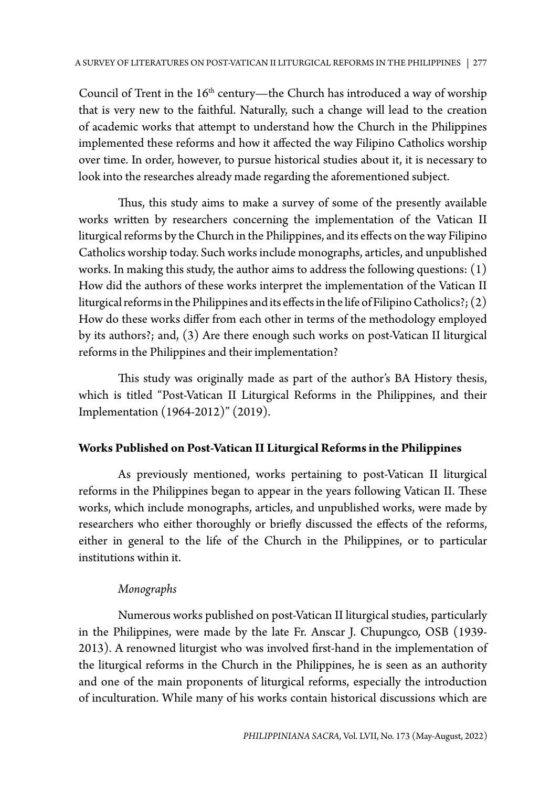Council of Trent in the  $16<sup>th</sup>$  century—the Church has introduced a way of worship that is very new to the faithful. Naturally, such a change will lead to the creation of academic works that attempt to understand how the Church in the Philippines implemented these reforms and how it affected the way Filipino Catholics worship over time. In order, however, to pursue historical studies about it, it is necessary to look into the researches already made regarding the aforementioned subject.

Thus, this study aims to make a survey of some of the presently available works written by researchers concerning the implementation of the Vatican II liturgical reforms by the Church in the Philippines, and its effects on the way Filipino Catholics worship today. Such works include monographs, articles, and unpublished works. In making this study, the author aims to address the following questions: (1) How did the authors of these works interpret the implementation of the Vatican II liturgical reforms in the Philippines and its effects in the life of Filipino Catholics?; (2) How do these works differ from each other in terms of the methodology employed by its authors?; and, (3) Are there enough such works on post-Vatican II liturgical reforms in the Philippines and their implementation?

This study was originally made as part of the author's BA History thesis, which is titled "Post-Vatican II Liturgical Reforms in the Philippines, and their Implementation (1964-2012)" (2019).

## **Works Published on Post-Vatican II Liturgical Reforms in the Philippines**

As previously mentioned, works pertaining to post-Vatican II liturgical reforms in the Philippines began to appear in the years following Vatican II. These works, which include monographs, articles, and unpublished works, were made by researchers who either thoroughly or briefly discussed the effects of the reforms, either in general to the life of the Church in the Philippines, or to particular institutions within it.

## *Monographs*

Numerous works published on post-Vatican II liturgical studies, particularly in the Philippines, were made by the late Fr. Anscar J. Chupungco, OSB (1939- 2013). A renowned liturgist who was involved first-hand in the implementation of the liturgical reforms in the Church in the Philippines, he is seen as an authority and one of the main proponents of liturgical reforms, especially the introduction of inculturation. While many of his works contain historical discussions which are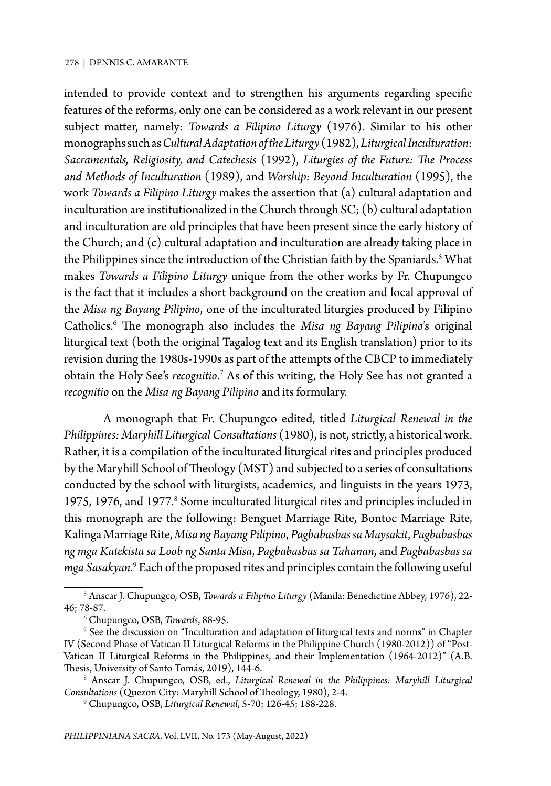intended to provide context and to strengthen his arguments regarding specific features of the reforms, only one can be considered as a work relevant in our present subject matter, namely: *Towards a Filipino Liturgy* (1976). Similar to his other monographs such as *Cultural Adaptation of the Liturgy* (1982), *Liturgical Inculturation: Sacramentals, Religiosity, and Catechesis* (1992), *Liturgies of the Future: The Process and Methods of Inculturation* (1989), and *Worship: Beyond Inculturation* (1995), the work *Towards a Filipino Liturgy* makes the assertion that (a) cultural adaptation and inculturation are institutionalized in the Church through SC; (b) cultural adaptation and inculturation are old principles that have been present since the early history of the Church; and (c) cultural adaptation and inculturation are already taking place in the Philippines since the introduction of the Christian faith by the Spaniards.<sup>5</sup> What makes *Towards a Filipino Liturgy* unique from the other works by Fr. Chupungco is the fact that it includes a short background on the creation and local approval of the *Misa ng Bayang Pilipino*, one of the inculturated liturgies produced by Filipino Catholics.6 The monograph also includes the *Misa ng Bayang Pilipino*'s original liturgical text (both the original Tagalog text and its English translation) prior to its revision during the 1980s-1990s as part of the attempts of the CBCP to immediately obtain the Holy See's *recognitio*.<sup>7</sup> As of this writing, the Holy See has not granted a *recognitio* on the *Misa ng Bayang Pilipino* and its formulary.

A monograph that Fr. Chupungco edited, titled *Liturgical Renewal in the Philippines: Maryhill Liturgical Consultations* (1980), is not, strictly, a historical work. Rather, it is a compilation of the inculturated liturgical rites and principles produced by the Maryhill School of Theology (MST) and subjected to a series of consultations conducted by the school with liturgists, academics, and linguists in the years 1973, 1975, 1976, and 1977.<sup>8</sup> Some inculturated liturgical rites and principles included in this monograph are the following: Benguet Marriage Rite, Bontoc Marriage Rite, Kalinga Marriage Rite, *Misa ng Bayang Pilipino*, *Pagbabasbas sa Maysakit*, *Pagbabasbas ng mga Katekista sa Loob ng Santa Misa*, *Pagbabasbas sa Tahanan*, and *Pagbabasbas sa mga Sasakyan*.<sup>9</sup> Each of the proposed rites and principles contain the following useful

<sup>5</sup> Anscar J. Chupungco, OSB, *Towards a Filipino Liturgy* (Manila: Benedictine Abbey, 1976), 22- 46; 78-87.

<sup>6</sup> Chupungco, OSB, *Towards*, 88-95.

 $^7$  See the discussion on "Inculturation and adaptation of liturgical texts and norms" in Chapter IV (Second Phase of Vatican II Liturgical Reforms in the Philippine Church (1980-2012)) of "Post-Vatican II Liturgical Reforms in the Philippines, and their Implementation (1964-2012)" (A.B. Thesis, University of Santo Tomás, 2019), 144-6.

<sup>8</sup> Anscar J. Chupungco, OSB, ed., *Liturgical Renewal in the Philippines: Maryhill Liturgical Consultations* (Quezon City: Maryhill School of Theology, 1980), 2-4.

<sup>9</sup> Chupungco, OSB, *Liturgical Renewal*, 5-70; 126-45; 188-228.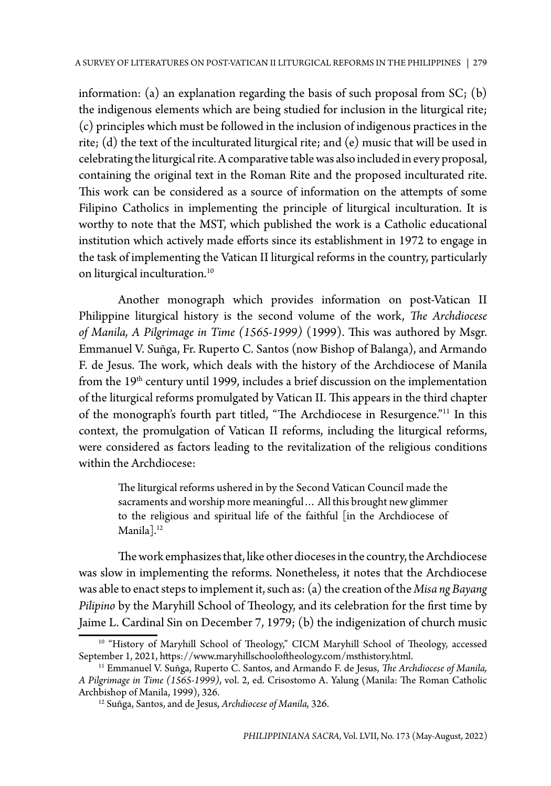information: (a) an explanation regarding the basis of such proposal from SC; (b) the indigenous elements which are being studied for inclusion in the liturgical rite; (c) principles which must be followed in the inclusion of indigenous practices in the rite; (d) the text of the inculturated liturgical rite; and (e) music that will be used in celebrating the liturgical rite. A comparative table was also included in every proposal, containing the original text in the Roman Rite and the proposed inculturated rite. This work can be considered as a source of information on the attempts of some Filipino Catholics in implementing the principle of liturgical inculturation. It is worthy to note that the MST, which published the work is a Catholic educational institution which actively made efforts since its establishment in 1972 to engage in the task of implementing the Vatican II liturgical reforms in the country, particularly on liturgical inculturation.<sup>10</sup>

Another monograph which provides information on post-Vatican II Philippine liturgical history is the second volume of the work, *The Archdiocese of Manila, A Pilgrimage in Time (1565-1999)* (1999). This was authored by Msgr. Emmanuel V. Suñga, Fr. Ruperto C. Santos (now Bishop of Balanga), and Armando F. de Jesus. The work, which deals with the history of the Archdiocese of Manila from the 19<sup>th</sup> century until 1999, includes a brief discussion on the implementation of the liturgical reforms promulgated by Vatican II. This appears in the third chapter of the monograph's fourth part titled, "The Archdiocese in Resurgence."11 In this context, the promulgation of Vatican II reforms, including the liturgical reforms, were considered as factors leading to the revitalization of the religious conditions within the Archdiocese:

The liturgical reforms ushered in by the Second Vatican Council made the sacraments and worship more meaningful… All this brought new glimmer to the religious and spiritual life of the faithful [in the Archdiocese of Manila<sup>]</sup>.<sup>12</sup>

The work emphasizes that, like other dioceses in the country, the Archdiocese was slow in implementing the reforms. Nonetheless, it notes that the Archdiocese was able to enact steps to implement it, such as: (a) the creation of the *Misa ng Bayang Pilipino* by the Maryhill School of Theology, and its celebration for the first time by Jaime L. Cardinal Sin on December 7, 1979; (b) the indigenization of church music

 $10$  "History of Maryhill School of Theology," CICM Maryhill School of Theology, accessed September 1, 2021, https://www.maryhillschooloftheology.com/msthistory.html.

<sup>&</sup>lt;sup>11</sup> Emmanuel V. Suñga, Ruperto C. Santos, and Armando F. de Jesus, *The Archdiocese of Manila, A Pilgrimage in Time (1565-1999)*, vol. 2, ed. Crisostomo A. Yalung (Manila: The Roman Catholic Archbishop of Manila, 1999), 326.

<sup>12</sup> Suñga, Santos, and de Jesus, *Archdiocese of Manila,* 326.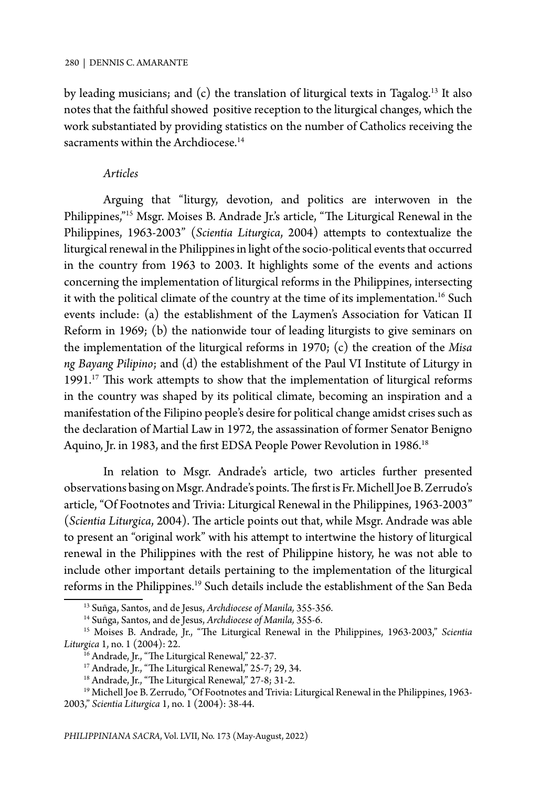by leading musicians; and  $(c)$  the translation of liturgical texts in Tagalog.<sup>13</sup> It also notes that the faithful showed positive reception to the liturgical changes, which the work substantiated by providing statistics on the number of Catholics receiving the sacraments within the Archdiocese.<sup>14</sup>

## *Articles*

Arguing that "liturgy, devotion, and politics are interwoven in the Philippines,"15 Msgr. Moises B. Andrade Jr.'s article, "The Liturgical Renewal in the Philippines, 1963-2003" (*Scientia Liturgica*, 2004) attempts to contextualize the liturgical renewal in the Philippines in light of the socio-political events that occurred in the country from 1963 to 2003. It highlights some of the events and actions concerning the implementation of liturgical reforms in the Philippines, intersecting it with the political climate of the country at the time of its implementation.<sup>16</sup> Such events include: (a) the establishment of the Laymen's Association for Vatican II Reform in 1969; (b) the nationwide tour of leading liturgists to give seminars on the implementation of the liturgical reforms in 1970; (c) the creation of the *Misa ng Bayang Pilipino*; and (d) the establishment of the Paul VI Institute of Liturgy in 1991.<sup>17</sup> This work attempts to show that the implementation of liturgical reforms in the country was shaped by its political climate, becoming an inspiration and a manifestation of the Filipino people's desire for political change amidst crises such as the declaration of Martial Law in 1972, the assassination of former Senator Benigno Aquino, Jr. in 1983, and the first EDSA People Power Revolution in 1986.<sup>18</sup>

In relation to Msgr. Andrade's article, two articles further presented observations basing on Msgr. Andrade's points. The first is Fr. Michell Joe B. Zerrudo's article, "Of Footnotes and Trivia: Liturgical Renewal in the Philippines, 1963-2003" (*Scientia Liturgica*, 2004). The article points out that, while Msgr. Andrade was able to present an "original work" with his attempt to intertwine the history of liturgical renewal in the Philippines with the rest of Philippine history, he was not able to include other important details pertaining to the implementation of the liturgical reforms in the Philippines.19 Such details include the establishment of the San Beda

<sup>13</sup> Suñga, Santos, and de Jesus, *Archdiocese of Manila,* 355-356.

<sup>14</sup> Suñga, Santos, and de Jesus, *Archdiocese of Manila,* 355-6.

<sup>15</sup> Moises B. Andrade, Jr., "The Liturgical Renewal in the Philippines, 1963-2003," *Scientia Liturgica* 1, no. 1 (2004): 22.

<sup>&</sup>lt;sup>16</sup> Andrade, Jr., "The Liturgical Renewal," 22-37.

<sup>&</sup>lt;sup>17</sup> Andrade, Jr., "The Liturgical Renewal," 25-7; 29, 34.

<sup>&</sup>lt;sup>18</sup> Andrade, Jr., "The Liturgical Renewal," 27-8; 31-2.

<sup>&</sup>lt;sup>19</sup> Michell Joe B. Zerrudo, "Of Footnotes and Trivia: Liturgical Renewal in the Philippines, 1963-2003," *Scientia Liturgica* 1, no. 1 (2004): 38-44.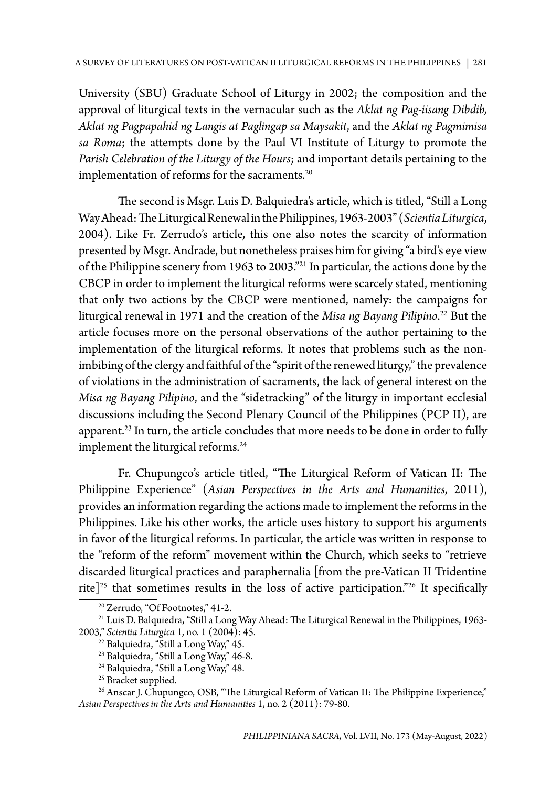University (SBU) Graduate School of Liturgy in 2002; the composition and the approval of liturgical texts in the vernacular such as the *Aklat ng Pag-iisang Dibdib, Aklat ng Pagpapahid ng Langis at Paglingap sa Maysakit*, and the *Aklat ng Pagmimisa sa Roma*; the attempts done by the Paul VI Institute of Liturgy to promote the *Parish Celebration of the Liturgy of the Hours*; and important details pertaining to the implementation of reforms for the sacraments.<sup>20</sup>

The second is Msgr. Luis D. Balquiedra's article, which is titled, "Still a Long Way Ahead: The Liturgical Renewal in the Philippines, 1963-2003" (*Scientia Liturgica*, 2004). Like Fr. Zerrudo's article, this one also notes the scarcity of information presented by Msgr. Andrade, but nonetheless praises him for giving "a bird's eye view of the Philippine scenery from 1963 to 2003."21 In particular, the actions done by the CBCP in order to implement the liturgical reforms were scarcely stated, mentioning that only two actions by the CBCP were mentioned, namely: the campaigns for liturgical renewal in 1971 and the creation of the *Misa ng Bayang Pilipino*. 22 But the article focuses more on the personal observations of the author pertaining to the implementation of the liturgical reforms. It notes that problems such as the nonimbibing of the clergy and faithful of the "spirit of the renewed liturgy," the prevalence of violations in the administration of sacraments, the lack of general interest on the *Misa ng Bayang Pilipino*, and the "sidetracking" of the liturgy in important ecclesial discussions including the Second Plenary Council of the Philippines (PCP II), are apparent. $^{23}$  In turn, the article concludes that more needs to be done in order to fully implement the liturgical reforms.<sup>24</sup>

Fr. Chupungco's article titled, "The Liturgical Reform of Vatican II: The Philippine Experience" (*Asian Perspectives in the Arts and Humanities*, 2011), provides an information regarding the actions made to implement the reforms in the Philippines. Like his other works, the article uses history to support his arguments in favor of the liturgical reforms. In particular, the article was written in response to the "reform of the reform" movement within the Church, which seeks to "retrieve discarded liturgical practices and paraphernalia [from the pre-Vatican II Tridentine rite]<sup>25</sup> that sometimes results in the loss of active participation.<sup>"26</sup> It specifically

<sup>20</sup> Zerrudo, "Of Footnotes," 41-2.

<sup>21</sup> Luis D. Balquiedra, "Still a Long Way Ahead: The Liturgical Renewal in the Philippines, 1963- 2003," *Scientia Liturgica* 1, no. 1 (2004): 45.

<sup>&</sup>lt;sup>22</sup> Balquiedra, "Still a Long Way," 45.

<sup>23</sup> Balquiedra, "Still a Long Way," 46-8.

<sup>&</sup>lt;sup>24</sup> Balquiedra, "Still a Long Way," 48.

<sup>&</sup>lt;sup>25</sup> Bracket supplied.

<sup>&</sup>lt;sup>26</sup> Anscar J. Chupungco, OSB, "The Liturgical Reform of Vatican II: The Philippine Experience," *Asian Perspectives in the Arts and Humanities* 1, no. 2 (2011): 79-80.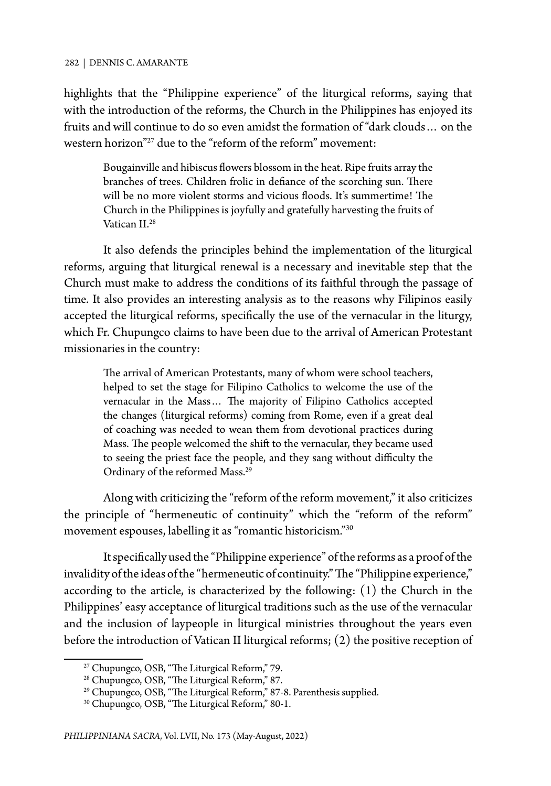highlights that the "Philippine experience" of the liturgical reforms, saying that with the introduction of the reforms, the Church in the Philippines has enjoyed its fruits and will continue to do so even amidst the formation of "dark clouds… on the western horizon"<sup>27</sup> due to the "reform of the reform" movement:

Bougainville and hibiscus flowers blossom in the heat. Ripe fruits array the branches of trees. Children frolic in defiance of the scorching sun. There will be no more violent storms and vicious floods. It's summertime! The Church in the Philippines is joyfully and gratefully harvesting the fruits of Vatican II.<sup>28</sup>

It also defends the principles behind the implementation of the liturgical reforms, arguing that liturgical renewal is a necessary and inevitable step that the Church must make to address the conditions of its faithful through the passage of time. It also provides an interesting analysis as to the reasons why Filipinos easily accepted the liturgical reforms, specifically the use of the vernacular in the liturgy, which Fr. Chupungco claims to have been due to the arrival of American Protestant missionaries in the country:

The arrival of American Protestants, many of whom were school teachers, helped to set the stage for Filipino Catholics to welcome the use of the vernacular in the Mass… The majority of Filipino Catholics accepted the changes (liturgical reforms) coming from Rome, even if a great deal of coaching was needed to wean them from devotional practices during Mass. The people welcomed the shift to the vernacular, they became used to seeing the priest face the people, and they sang without difficulty the Ordinary of the reformed Mass.29

Along with criticizing the "reform of the reform movement," it also criticizes the principle of "hermeneutic of continuity" which the "reform of the reform" movement espouses, labelling it as "romantic historicism."30

It specifically used the "Philippine experience" of the reforms as a proof of the invalidity of the ideas of the "hermeneutic of continuity." The "Philippine experience," according to the article, is characterized by the following: (1) the Church in the Philippines' easy acceptance of liturgical traditions such as the use of the vernacular and the inclusion of laypeople in liturgical ministries throughout the years even before the introduction of Vatican II liturgical reforms; (2) the positive reception of

<sup>27</sup> Chupungco, OSB, "The Liturgical Reform," 79.

<sup>&</sup>lt;sup>28</sup> Chupungco, OSB, "The Liturgical Reform," 87.

<sup>&</sup>lt;sup>29</sup> Chupungco, OSB, "The Liturgical Reform," 87-8. Parenthesis supplied.

<sup>30</sup> Chupungco, OSB, "The Liturgical Reform," 80-1.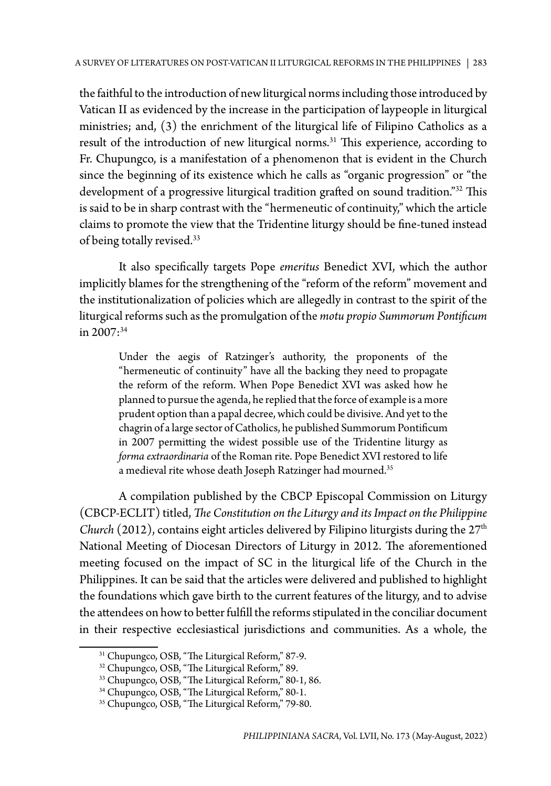the faithful to the introduction of new liturgical norms including those introduced by Vatican II as evidenced by the increase in the participation of laypeople in liturgical ministries; and, (3) the enrichment of the liturgical life of Filipino Catholics as a result of the introduction of new liturgical norms.<sup>31</sup> This experience, according to Fr. Chupungco, is a manifestation of a phenomenon that is evident in the Church since the beginning of its existence which he calls as "organic progression" or "the development of a progressive liturgical tradition grafted on sound tradition."<sup>32</sup> This is said to be in sharp contrast with the "hermeneutic of continuity," which the article claims to promote the view that the Tridentine liturgy should be fine-tuned instead of being totally revised.33

It also specifically targets Pope *emeritus* Benedict XVI, which the author implicitly blames for the strengthening of the "reform of the reform" movement and the institutionalization of policies which are allegedly in contrast to the spirit of the liturgical reforms such as the promulgation of the *motu propio Summorum Pontificum*  in  $2007:34$ 

Under the aegis of Ratzinger's authority, the proponents of the "hermeneutic of continuity" have all the backing they need to propagate the reform of the reform. When Pope Benedict XVI was asked how he planned to pursue the agenda, he replied that the force of example is a more prudent option than a papal decree, which could be divisive. And yet to the chagrin of a large sector of Catholics, he published Summorum Pontificum in 2007 permitting the widest possible use of the Tridentine liturgy as *forma extraordinaria* of the Roman rite. Pope Benedict XVI restored to life a medieval rite whose death Joseph Ratzinger had mourned.<sup>35</sup>

A compilation published by the CBCP Episcopal Commission on Liturgy (CBCP-ECLIT) titled, *The Constitution on the Liturgy and its Impact on the Philippine Church* (2012), contains eight articles delivered by Filipino liturgists during the 27<sup>th</sup> National Meeting of Diocesan Directors of Liturgy in 2012. The aforementioned meeting focused on the impact of SC in the liturgical life of the Church in the Philippines. It can be said that the articles were delivered and published to highlight the foundations which gave birth to the current features of the liturgy, and to advise the attendees on how to better fulfill the reforms stipulated in the conciliar document in their respective ecclesiastical jurisdictions and communities. As a whole, the

<sup>&</sup>lt;sup>31</sup> Chupungco, OSB, "The Liturgical Reform," 87-9.

<sup>32</sup> Chupungco, OSB, "The Liturgical Reform," 89.

<sup>33</sup> Chupungco, OSB, "The Liturgical Reform," 80-1, 86.

<sup>34</sup> Chupungco, OSB, "The Liturgical Reform," 80-1.

<sup>35</sup> Chupungco, OSB, "The Liturgical Reform," 79-80.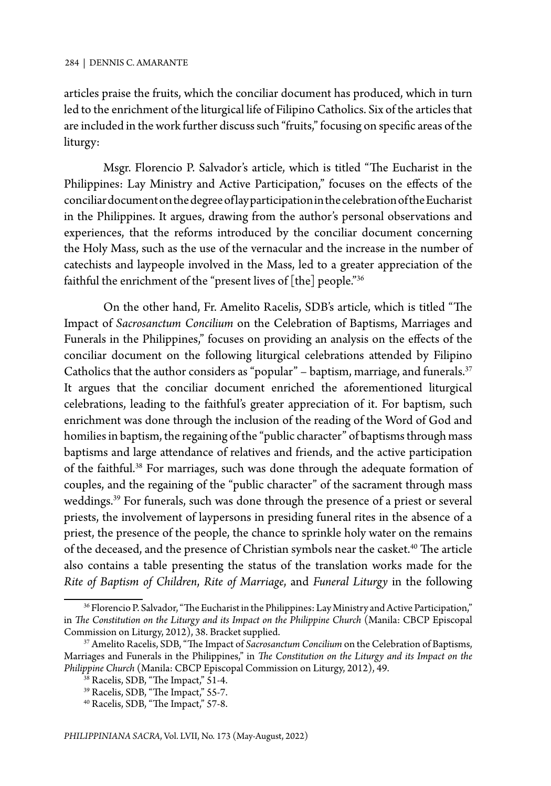articles praise the fruits, which the conciliar document has produced, which in turn led to the enrichment of the liturgical life of Filipino Catholics. Six of the articles that are included in the work further discuss such "fruits," focusing on specific areas of the liturgy:

Msgr. Florencio P. Salvador's article, which is titled "The Eucharist in the Philippines: Lay Ministry and Active Participation," focuses on the effects of the conciliar documenton the degree of lay participation in the celebration of the Eucharist in the Philippines. It argues, drawing from the author's personal observations and experiences, that the reforms introduced by the conciliar document concerning the Holy Mass, such as the use of the vernacular and the increase in the number of catechists and laypeople involved in the Mass, led to a greater appreciation of the faithful the enrichment of the "present lives of [the] people."36

On the other hand, Fr. Amelito Racelis, SDB's article, which is titled "The Impact of *Sacrosanctum Concilium* on the Celebration of Baptisms, Marriages and Funerals in the Philippines," focuses on providing an analysis on the effects of the conciliar document on the following liturgical celebrations attended by Filipino Catholics that the author considers as "popular" – baptism, marriage, and funerals.<sup>37</sup> It argues that the conciliar document enriched the aforementioned liturgical celebrations, leading to the faithful's greater appreciation of it. For baptism, such enrichment was done through the inclusion of the reading of the Word of God and homilies in baptism, the regaining of the "public character" of baptisms through mass baptisms and large attendance of relatives and friends, and the active participation of the faithful.<sup>38</sup> For marriages, such was done through the adequate formation of couples, and the regaining of the "public character" of the sacrament through mass weddings.<sup>39</sup> For funerals, such was done through the presence of a priest or several priests, the involvement of laypersons in presiding funeral rites in the absence of a priest, the presence of the people, the chance to sprinkle holy water on the remains of the deceased, and the presence of Christian symbols near the casket.<sup>40</sup> The article also contains a table presenting the status of the translation works made for the *Rite of Baptism of Children*, *Rite of Marriage*, and *Funeral Liturgy* in the following

<sup>&</sup>lt;sup>36</sup> Florencio P. Salvador, "The Eucharist in the Philippines: Lay Ministry and Active Participation," in *The Constitution on the Liturgy and its Impact on the Philippine Church* (Manila: CBCP Episcopal Commission on Liturgy, 2012), 38. Bracket supplied.

<sup>&</sup>lt;sup>37</sup> Amelito Racelis, SDB, "The Impact of Sacrosanctum Concilium on the Celebration of Baptisms, Marriages and Funerals in the Philippines," in *The Constitution on the Liturgy and its Impact on the Philippine Church* (Manila: CBCP Episcopal Commission on Liturgy, 2012), 49.

<sup>38</sup> Racelis, SDB, "The Impact," 51-4.

<sup>39</sup> Racelis, SDB, "The Impact," 55-7.

<sup>40</sup> Racelis, SDB, "The Impact," 57-8.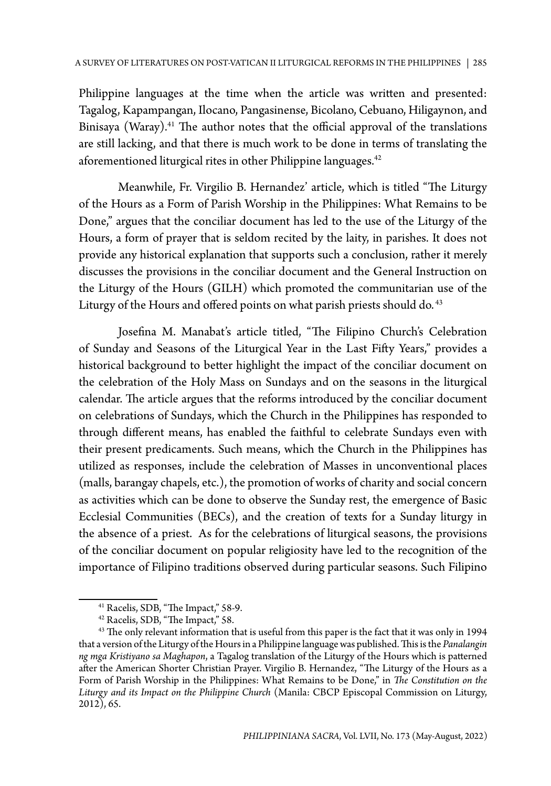Philippine languages at the time when the article was written and presented: Tagalog, Kapampangan, Ilocano, Pangasinense, Bicolano, Cebuano, Hiligaynon, and Binisaya (Waray).<sup>41</sup> The author notes that the official approval of the translations are still lacking, and that there is much work to be done in terms of translating the aforementioned liturgical rites in other Philippine languages.<sup>42</sup>

Meanwhile, Fr. Virgilio B. Hernandez' article, which is titled "The Liturgy of the Hours as a Form of Parish Worship in the Philippines: What Remains to be Done," argues that the conciliar document has led to the use of the Liturgy of the Hours, a form of prayer that is seldom recited by the laity, in parishes. It does not provide any historical explanation that supports such a conclusion, rather it merely discusses the provisions in the conciliar document and the General Instruction on the Liturgy of the Hours (GILH) which promoted the communitarian use of the Liturgy of the Hours and offered points on what parish priests should do.<sup>43</sup>

Josefina M. Manabat's article titled, "The Filipino Church's Celebration of Sunday and Seasons of the Liturgical Year in the Last Fifty Years," provides a historical background to better highlight the impact of the conciliar document on the celebration of the Holy Mass on Sundays and on the seasons in the liturgical calendar. The article argues that the reforms introduced by the conciliar document on celebrations of Sundays, which the Church in the Philippines has responded to through different means, has enabled the faithful to celebrate Sundays even with their present predicaments. Such means, which the Church in the Philippines has utilized as responses, include the celebration of Masses in unconventional places (malls, barangay chapels, etc.), the promotion of works of charity and social concern as activities which can be done to observe the Sunday rest, the emergence of Basic Ecclesial Communities (BECs), and the creation of texts for a Sunday liturgy in the absence of a priest. As for the celebrations of liturgical seasons, the provisions of the conciliar document on popular religiosity have led to the recognition of the importance of Filipino traditions observed during particular seasons. Such Filipino

<sup>41</sup> Racelis, SDB, "The Impact," 58-9.

<sup>42</sup> Racelis, SDB, "The Impact," 58.

<sup>&</sup>lt;sup>43</sup> The only relevant information that is useful from this paper is the fact that it was only in 1994 that a version of the Liturgy of the Hours in a Philippine language was published. This is the *Panalangin ng mga Kristiyano sa Maghapon*, a Tagalog translation of the Liturgy of the Hours which is patterned after the American Shorter Christian Prayer. Virgilio B. Hernandez, "The Liturgy of the Hours as a Form of Parish Worship in the Philippines: What Remains to be Done," in *The Constitution on the Liturgy and its Impact on the Philippine Church* (Manila: CBCP Episcopal Commission on Liturgy, 2012), 65.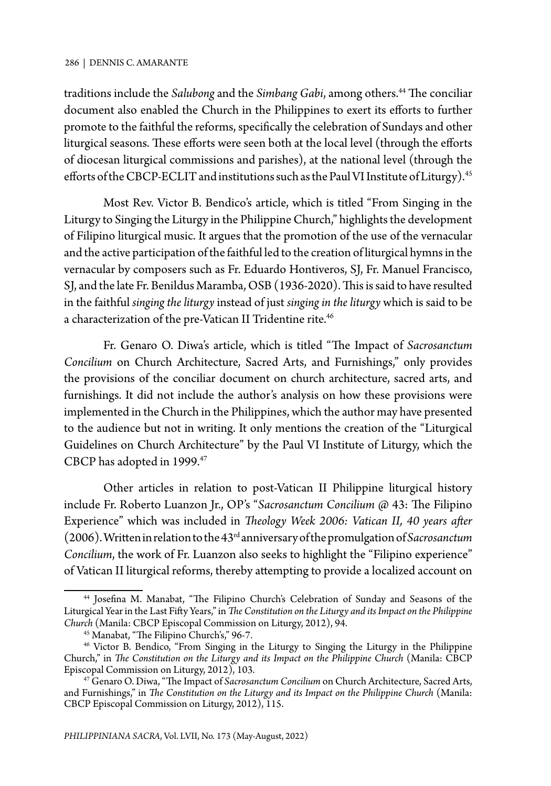traditions include the *Salubong* and the *Simbang Gabi*, among others.<sup>44</sup> The conciliar document also enabled the Church in the Philippines to exert its efforts to further promote to the faithful the reforms, specifically the celebration of Sundays and other liturgical seasons. These efforts were seen both at the local level (through the efforts of diocesan liturgical commissions and parishes), at the national level (through the efforts of the CBCP-ECLIT and institutions such as the Paul VI Institute of Liturgy).<sup>45</sup>

Most Rev. Victor B. Bendico's article, which is titled "From Singing in the Liturgy to Singing the Liturgy in the Philippine Church," highlights the development of Filipino liturgical music. It argues that the promotion of the use of the vernacular and the active participation of the faithful led to the creation of liturgical hymns in the vernacular by composers such as Fr. Eduardo Hontiveros, SJ, Fr. Manuel Francisco, SJ, and the late Fr. Benildus Maramba, OSB (1936-2020). This is said to have resulted in the faithful *singing the liturgy* instead of just *singing in the liturgy* which is said to be a characterization of the pre-Vatican II Tridentine rite.<sup>46</sup>

Fr. Genaro O. Diwa's article, which is titled "The Impact of *Sacrosanctum Concilium* on Church Architecture, Sacred Arts, and Furnishings," only provides the provisions of the conciliar document on church architecture, sacred arts, and furnishings. It did not include the author's analysis on how these provisions were implemented in the Church in the Philippines, which the author may have presented to the audience but not in writing. It only mentions the creation of the "Liturgical Guidelines on Church Architecture" by the Paul VI Institute of Liturgy, which the CBCP has adopted in 1999.47

Other articles in relation to post-Vatican II Philippine liturgical history include Fr. Roberto Luanzon Jr., OP's "*Sacrosanctum Concilium* @ 43: The Filipino Experience" which was included in *Theology Week 2006: Vatican II, 40 years after* (2006). Written in relation to the 43rd anniversary of the promulgation of *Sacrosanctum Concilium*, the work of Fr. Luanzon also seeks to highlight the "Filipino experience" of Vatican II liturgical reforms, thereby attempting to provide a localized account on

<sup>44</sup> Josefina M. Manabat, "The Filipino Church's Celebration of Sunday and Seasons of the Liturgical Year in the Last Fifty Years," in *The Constitution on the Liturgy and its Impact on the Philippine Church* (Manila: CBCP Episcopal Commission on Liturgy, 2012), 94.

<sup>45</sup> Manabat, "The Filipino Church's," 96-7.

<sup>46</sup> Victor B. Bendico, "From Singing in the Liturgy to Singing the Liturgy in the Philippine Church," in *The Constitution on the Liturgy and its Impact on the Philippine Church* (Manila: CBCP Episcopal Commission on Liturgy, 2012), 103.

<sup>47</sup> Genaro O. Diwa, "The Impact of *Sacrosanctum Concilium* on Church Architecture, Sacred Arts, and Furnishings," in *The Constitution on the Liturgy and its Impact on the Philippine Church* (Manila: CBCP Episcopal Commission on Liturgy, 2012), 115.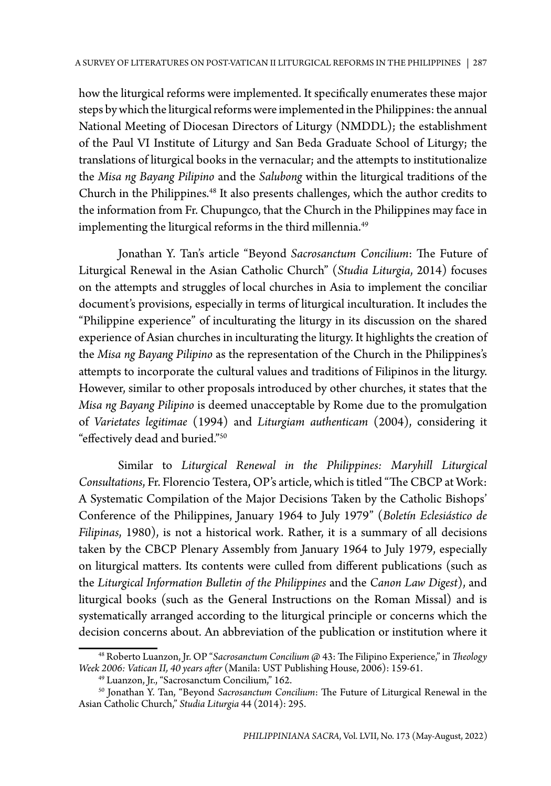how the liturgical reforms were implemented. It specifically enumerates these major steps by which the liturgical reforms were implemented in the Philippines: the annual National Meeting of Diocesan Directors of Liturgy (NMDDL); the establishment of the Paul VI Institute of Liturgy and San Beda Graduate School of Liturgy; the translations of liturgical books in the vernacular; and the attempts to institutionalize the *Misa ng Bayang Pilipino* and the *Salubong* within the liturgical traditions of the Church in the Philippines.48 It also presents challenges, which the author credits to the information from Fr. Chupungco, that the Church in the Philippines may face in implementing the liturgical reforms in the third millennia.<sup>49</sup>

Jonathan Y. Tan's article "Beyond *Sacrosanctum Concilium*: The Future of Liturgical Renewal in the Asian Catholic Church" (*Studia Liturgia*, 2014) focuses on the attempts and struggles of local churches in Asia to implement the conciliar document's provisions, especially in terms of liturgical inculturation. It includes the "Philippine experience" of inculturating the liturgy in its discussion on the shared experience of Asian churches in inculturating the liturgy. It highlights the creation of the *Misa ng Bayang Pilipino* as the representation of the Church in the Philippines's attempts to incorporate the cultural values and traditions of Filipinos in the liturgy. However, similar to other proposals introduced by other churches, it states that the *Misa ng Bayang Pilipino* is deemed unacceptable by Rome due to the promulgation of *Varietates legitimae* (1994) and *Liturgiam authenticam* (2004), considering it "effectively dead and buried."50

Similar to *Liturgical Renewal in the Philippines: Maryhill Liturgical Consultations*, Fr. Florencio Testera, OP's article, which is titled "The CBCP at Work: A Systematic Compilation of the Major Decisions Taken by the Catholic Bishops' Conference of the Philippines, January 1964 to July 1979" (*Boletín Eclesiástico de Filipinas*, 1980), is not a historical work. Rather, it is a summary of all decisions taken by the CBCP Plenary Assembly from January 1964 to July 1979, especially on liturgical matters. Its contents were culled from different publications (such as the *Liturgical Information Bulletin of the Philippines* and the *Canon Law Digest*), and liturgical books (such as the General Instructions on the Roman Missal) and is systematically arranged according to the liturgical principle or concerns which the decision concerns about. An abbreviation of the publication or institution where it

<sup>48</sup> Roberto Luanzon, Jr. OP "*Sacrosanctum Concilium* @ 43: The Filipino Experience," in *Theology Week 2006: Vatican II, 40 years after* (Manila: UST Publishing House, 2006): 159-61.

<sup>49</sup> Luanzon, Jr., "Sacrosanctum Concilium," 162.

<sup>50</sup> Jonathan Y. Tan, "Beyond *Sacrosanctum Concilium*: The Future of Liturgical Renewal in the Asian Catholic Church," *Studia Liturgia* 44 (2014): 295.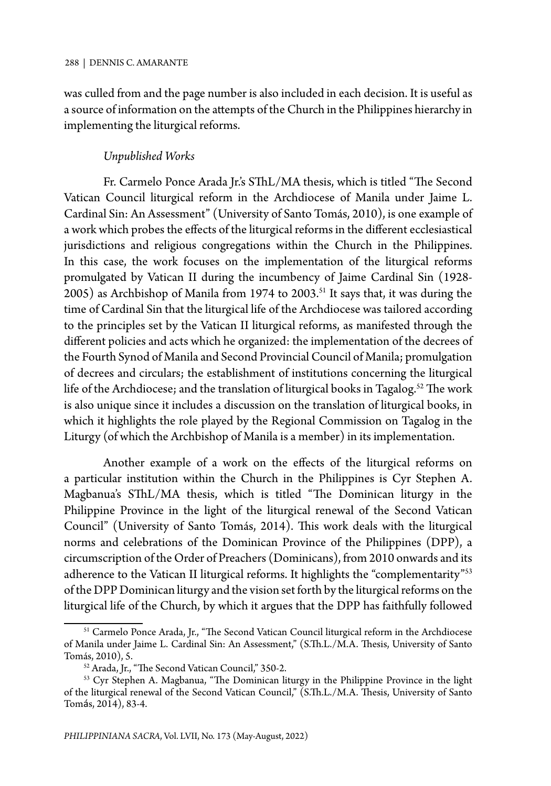was culled from and the page number is also included in each decision. It is useful as a source of information on the attempts of the Church in the Philippines hierarchy in implementing the liturgical reforms.

#### *Unpublished Works*

Fr. Carmelo Ponce Arada Jr.'s SThL/MA thesis, which is titled "The Second Vatican Council liturgical reform in the Archdiocese of Manila under Jaime L. Cardinal Sin: An Assessment" (University of Santo Tomás, 2010), is one example of a work which probes the effects of the liturgical reforms in the different ecclesiastical jurisdictions and religious congregations within the Church in the Philippines. In this case, the work focuses on the implementation of the liturgical reforms promulgated by Vatican II during the incumbency of Jaime Cardinal Sin (1928- 2005) as Archbishop of Manila from 1974 to 2003.<sup>51</sup> It says that, it was during the time of Cardinal Sin that the liturgical life of the Archdiocese was tailored according to the principles set by the Vatican II liturgical reforms, as manifested through the different policies and acts which he organized: the implementation of the decrees of the Fourth Synod of Manila and Second Provincial Council of Manila; promulgation of decrees and circulars; the establishment of institutions concerning the liturgical life of the Archdiocese; and the translation of liturgical books in Tagalog.<sup>52</sup> The work is also unique since it includes a discussion on the translation of liturgical books, in which it highlights the role played by the Regional Commission on Tagalog in the Liturgy (of which the Archbishop of Manila is a member) in its implementation.

Another example of a work on the effects of the liturgical reforms on a particular institution within the Church in the Philippines is Cyr Stephen A. Magbanua's SThL/MA thesis, which is titled "The Dominican liturgy in the Philippine Province in the light of the liturgical renewal of the Second Vatican Council" (University of Santo Tomás, 2014). This work deals with the liturgical norms and celebrations of the Dominican Province of the Philippines (DPP), a circumscription of the Order of Preachers (Dominicans), from 2010 onwards and its adherence to the Vatican II liturgical reforms. It highlights the "complementarity"<sup>53</sup> of the DPP Dominican liturgy and the vision set forth by the liturgical reforms on the liturgical life of the Church, by which it argues that the DPP has faithfully followed

<sup>&</sup>lt;sup>51</sup> Carmelo Ponce Arada, Jr., "The Second Vatican Council liturgical reform in the Archdiocese of Manila under Jaime L. Cardinal Sin: An Assessment," (S.Th.L./M.A. Thesis, University of Santo Tomás, 2010), 5.

<sup>52</sup> Arada, Jr., "The Second Vatican Council," 350-2.

<sup>&</sup>lt;sup>53</sup> Cyr Stephen A. Magbanua, "The Dominican liturgy in the Philippine Province in the light of the liturgical renewal of the Second Vatican Council," (S.Th.L./M.A. Thesis, University of Santo Tomás, 2014), 83-4.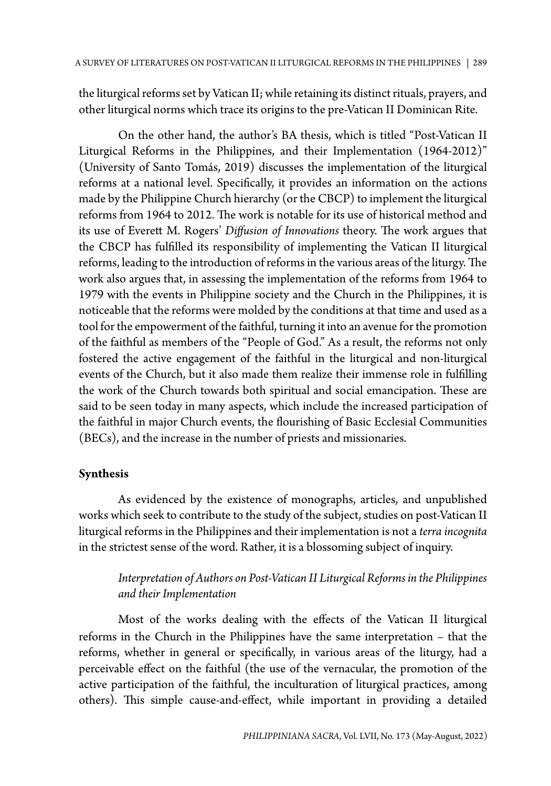the liturgical reforms set by Vatican II; while retaining its distinct rituals, prayers, and other liturgical norms which trace its origins to the pre-Vatican II Dominican Rite.

On the other hand, the author's BA thesis, which is titled "Post-Vatican II Liturgical Reforms in the Philippines, and their Implementation (1964-2012)" (University of Santo Tomás, 2019) discusses the implementation of the liturgical reforms at a national level. Specifically, it provides an information on the actions made by the Philippine Church hierarchy (or the CBCP) to implement the liturgical reforms from 1964 to 2012. The work is notable for its use of historical method and its use of Everett M. Rogers' *Diffusion of Innovations* theory. The work argues that the CBCP has fulfilled its responsibility of implementing the Vatican II liturgical reforms, leading to the introduction of reforms in the various areas of the liturgy. The work also argues that, in assessing the implementation of the reforms from 1964 to 1979 with the events in Philippine society and the Church in the Philippines, it is noticeable that the reforms were molded by the conditions at that time and used as a tool for the empowerment of the faithful, turning it into an avenue for the promotion of the faithful as members of the "People of God." As a result, the reforms not only fostered the active engagement of the faithful in the liturgical and non-liturgical events of the Church, but it also made them realize their immense role in fulfilling the work of the Church towards both spiritual and social emancipation. These are said to be seen today in many aspects, which include the increased participation of the faithful in major Church events, the flourishing of Basic Ecclesial Communities (BECs), and the increase in the number of priests and missionaries.

## **Synthesis**

As evidenced by the existence of monographs, articles, and unpublished works which seek to contribute to the study of the subject, studies on post-Vatican II liturgical reforms in the Philippines and their implementation is not a *terra incognita*  in the strictest sense of the word. Rather, it is a blossoming subject of inquiry.

# *Interpretation of Authors on Post-Vatican II Liturgical Reforms in the Philippines and their Implementation*

Most of the works dealing with the effects of the Vatican II liturgical reforms in the Church in the Philippines have the same interpretation – that the reforms, whether in general or specifically, in various areas of the liturgy, had a perceivable effect on the faithful (the use of the vernacular, the promotion of the active participation of the faithful, the inculturation of liturgical practices, among others). This simple cause-and-effect, while important in providing a detailed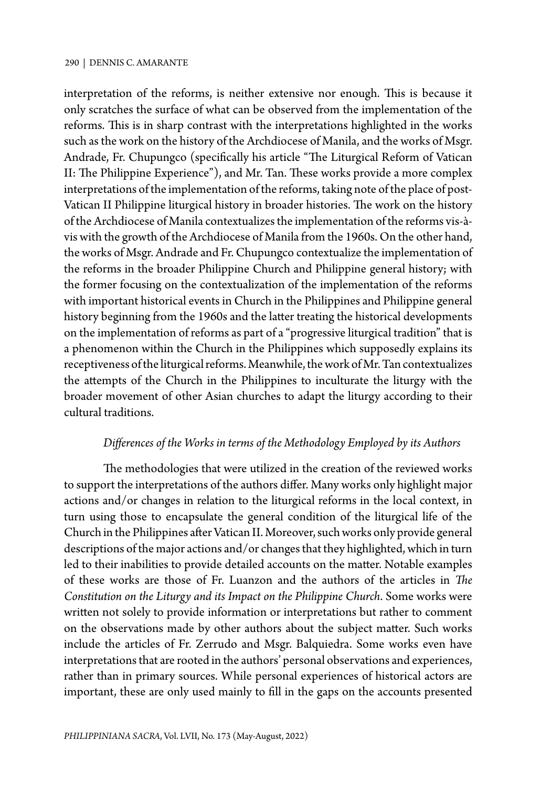interpretation of the reforms, is neither extensive nor enough. This is because it only scratches the surface of what can be observed from the implementation of the reforms. This is in sharp contrast with the interpretations highlighted in the works such as the work on the history of the Archdiocese of Manila, and the works of Msgr. Andrade, Fr. Chupungco (specifically his article "The Liturgical Reform of Vatican II: The Philippine Experience"), and Mr. Tan. These works provide a more complex interpretations of the implementation of the reforms, taking note of the place of post-Vatican II Philippine liturgical history in broader histories. The work on the history of the Archdiocese of Manila contextualizes the implementation of the reforms vis-àvis with the growth of the Archdiocese of Manila from the 1960s. On the other hand, the works of Msgr. Andrade and Fr. Chupungco contextualize the implementation of the reforms in the broader Philippine Church and Philippine general history; with the former focusing on the contextualization of the implementation of the reforms with important historical events in Church in the Philippines and Philippine general history beginning from the 1960s and the latter treating the historical developments on the implementation of reforms as part of a "progressive liturgical tradition" that is a phenomenon within the Church in the Philippines which supposedly explains its receptiveness of the liturgical reforms. Meanwhile, the work of Mr. Tan contextualizes the attempts of the Church in the Philippines to inculturate the liturgy with the broader movement of other Asian churches to adapt the liturgy according to their cultural traditions.

## *Differences of the Works in terms of the Methodology Employed by its Authors*

The methodologies that were utilized in the creation of the reviewed works to support the interpretations of the authors differ. Many works only highlight major actions and/or changes in relation to the liturgical reforms in the local context, in turn using those to encapsulate the general condition of the liturgical life of the Church in the Philippines after Vatican II. Moreover, such works only provide general descriptions of the major actions and/or changes that they highlighted, which in turn led to their inabilities to provide detailed accounts on the matter. Notable examples of these works are those of Fr. Luanzon and the authors of the articles in *The Constitution on the Liturgy and its Impact on the Philippine Church*. Some works were written not solely to provide information or interpretations but rather to comment on the observations made by other authors about the subject matter. Such works include the articles of Fr. Zerrudo and Msgr. Balquiedra. Some works even have interpretations that are rooted in the authors' personal observations and experiences, rather than in primary sources. While personal experiences of historical actors are important, these are only used mainly to fill in the gaps on the accounts presented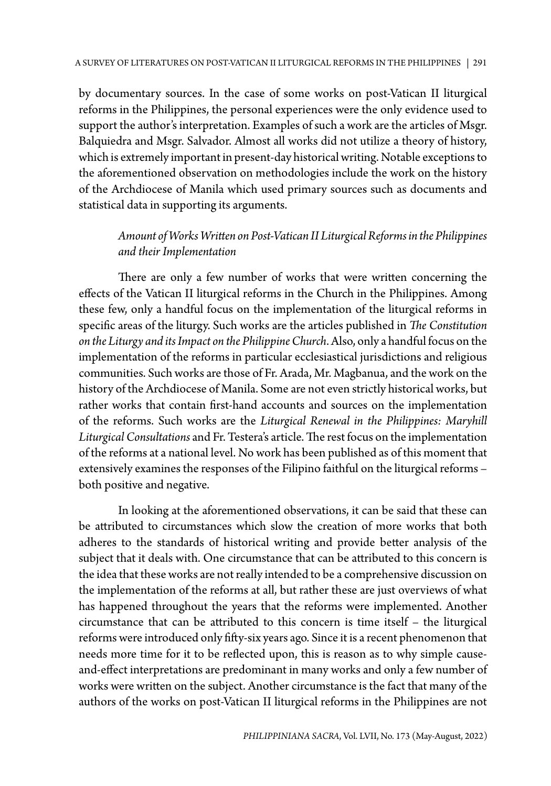by documentary sources. In the case of some works on post-Vatican II liturgical reforms in the Philippines, the personal experiences were the only evidence used to support the author's interpretation. Examples of such a work are the articles of Msgr. Balquiedra and Msgr. Salvador. Almost all works did not utilize a theory of history, which is extremely important in present-day historical writing. Notable exceptions to the aforementioned observation on methodologies include the work on the history of the Archdiocese of Manila which used primary sources such as documents and statistical data in supporting its arguments.

# *Amount of Works Written on Post-Vatican II Liturgical Reforms in the Philippines and their Implementation*

There are only a few number of works that were written concerning the effects of the Vatican II liturgical reforms in the Church in the Philippines. Among these few, only a handful focus on the implementation of the liturgical reforms in specific areas of the liturgy. Such works are the articles published in *The Constitution on the Liturgy and its Impact on the Philippine Church*. Also, only a handful focus on the implementation of the reforms in particular ecclesiastical jurisdictions and religious communities. Such works are those of Fr. Arada, Mr. Magbanua, and the work on the history of the Archdiocese of Manila. Some are not even strictly historical works, but rather works that contain first-hand accounts and sources on the implementation of the reforms. Such works are the *Liturgical Renewal in the Philippines: Maryhill Liturgical Consultations* and Fr. Testera's article. The rest focus on the implementation of the reforms at a national level. No work has been published as of this moment that extensively examines the responses of the Filipino faithful on the liturgical reforms – both positive and negative.

In looking at the aforementioned observations, it can be said that these can be attributed to circumstances which slow the creation of more works that both adheres to the standards of historical writing and provide better analysis of the subject that it deals with. One circumstance that can be attributed to this concern is the idea that these works are not really intended to be a comprehensive discussion on the implementation of the reforms at all, but rather these are just overviews of what has happened throughout the years that the reforms were implemented. Another circumstance that can be attributed to this concern is time itself – the liturgical reforms were introduced only fifty-six years ago. Since it is a recent phenomenon that needs more time for it to be reflected upon, this is reason as to why simple causeand-effect interpretations are predominant in many works and only a few number of works were written on the subject. Another circumstance is the fact that many of the authors of the works on post-Vatican II liturgical reforms in the Philippines are not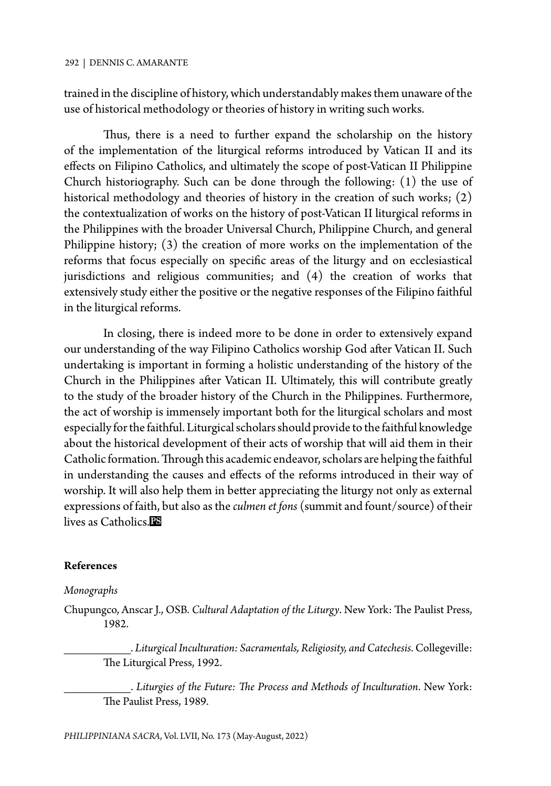trained in the discipline of history, which understandably makes them unaware of the use of historical methodology or theories of history in writing such works.

Thus, there is a need to further expand the scholarship on the history of the implementation of the liturgical reforms introduced by Vatican II and its effects on Filipino Catholics, and ultimately the scope of post-Vatican II Philippine Church historiography. Such can be done through the following: (1) the use of historical methodology and theories of history in the creation of such works; (2) the contextualization of works on the history of post-Vatican II liturgical reforms in the Philippines with the broader Universal Church, Philippine Church, and general Philippine history; (3) the creation of more works on the implementation of the reforms that focus especially on specific areas of the liturgy and on ecclesiastical jurisdictions and religious communities; and (4) the creation of works that extensively study either the positive or the negative responses of the Filipino faithful in the liturgical reforms.

In closing, there is indeed more to be done in order to extensively expand our understanding of the way Filipino Catholics worship God after Vatican II. Such undertaking is important in forming a holistic understanding of the history of the Church in the Philippines after Vatican II. Ultimately, this will contribute greatly to the study of the broader history of the Church in the Philippines. Furthermore, the act of worship is immensely important both for the liturgical scholars and most especially for the faithful. Liturgical scholars should provide to the faithful knowledge about the historical development of their acts of worship that will aid them in their Catholic formation. Through this academic endeavor, scholars are helping the faithful in understanding the causes and effects of the reforms introduced in their way of worship. It will also help them in better appreciating the liturgy not only as external expressions of faith, but also as the *culmen et fons* (summit and fount/source) of their lives as Catholics.

#### **References**

#### *Monographs*

Chupungco, Anscar J., OSB. *Cultural Adaptation of the Liturgy*. New York: The Paulist Press, 1982.

\_\_\_\_\_\_\_\_\_\_. *Liturgical Inculturation: Sacramentals, Religiosity, and Catechesis*. Collegeville: The Liturgical Press, 1992.

\_\_\_\_\_\_\_\_\_\_. *Liturgies of the Future: The Process and Methods of Inculturation*. New York: The Paulist Press, 1989.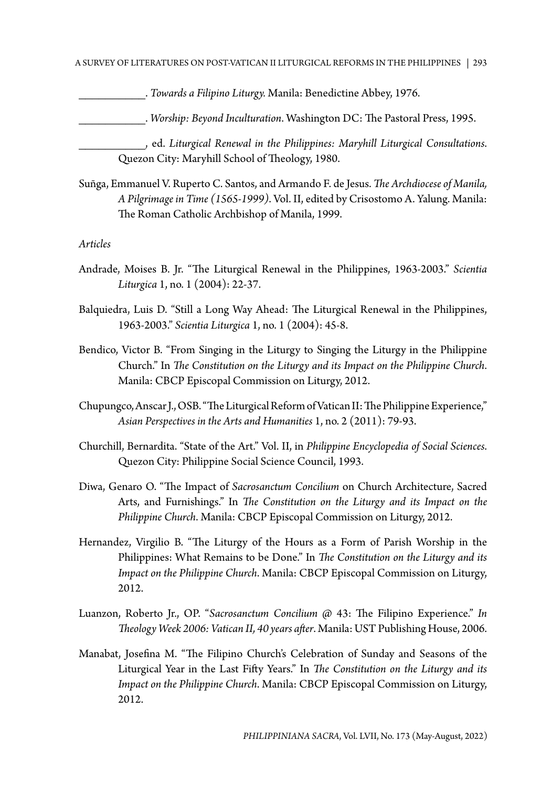#### A SURVEY OF LITERATURES ON POST-VATICAN II LITURGICAL REFORMS IN THE PHILIPPINES | 293

\_\_\_\_\_\_\_\_\_\_. *Towards a Filipino Liturgy.* Manila: Benedictine Abbey, 1976.

\_\_\_\_\_\_\_\_\_\_. *Worship: Beyond Inculturation*. Washington DC: The Pastoral Press, 1995.

\_\_\_\_\_\_\_\_\_\_, ed. *Liturgical Renewal in the Philippines: Maryhill Liturgical Consultations*. Quezon City: Maryhill School of Theology, 1980.

Suñga, Emmanuel V. Ruperto C. Santos, and Armando F. de Jesus. *The Archdiocese of Manila, A Pilgrimage in Time (1565-1999)*. Vol. II, edited by Crisostomo A. Yalung. Manila: The Roman Catholic Archbishop of Manila, 1999.

*Articles*

- Andrade, Moises B. Jr. "The Liturgical Renewal in the Philippines, 1963-2003." *Scientia Liturgica* 1, no. 1 (2004): 22-37.
- Balquiedra, Luis D. "Still a Long Way Ahead: The Liturgical Renewal in the Philippines, 1963-2003." *Scientia Liturgica* 1, no. 1 (2004): 45-8.
- Bendico, Victor B. "From Singing in the Liturgy to Singing the Liturgy in the Philippine Church." In *The Constitution on the Liturgy and its Impact on the Philippine Church*. Manila: CBCP Episcopal Commission on Liturgy, 2012.
- Chupungco, Anscar J., OSB. "The Liturgical Reform of Vatican II: The Philippine Experience," *Asian Perspectives in the Arts and Humanities* 1, no. 2 (2011): 79-93.
- Churchill, Bernardita. "State of the Art." Vol. II, in *Philippine Encyclopedia of Social Sciences*. Quezon City: Philippine Social Science Council, 1993.
- Diwa, Genaro O. "The Impact of *Sacrosanctum Concilium* on Church Architecture, Sacred Arts, and Furnishings." In *The Constitution on the Liturgy and its Impact on the Philippine Church*. Manila: CBCP Episcopal Commission on Liturgy, 2012.
- Hernandez, Virgilio B. "The Liturgy of the Hours as a Form of Parish Worship in the Philippines: What Remains to be Done." In *The Constitution on the Liturgy and its Impact on the Philippine Church*. Manila: CBCP Episcopal Commission on Liturgy, 2012.
- Luanzon, Roberto Jr., OP. "*Sacrosanctum Concilium* @ 43: The Filipino Experience." *In Theology Week 2006: Vatican II, 40 years after*. Manila: UST Publishing House, 2006.
- Manabat, Josefina M. "The Filipino Church's Celebration of Sunday and Seasons of the Liturgical Year in the Last Fifty Years." In *The Constitution on the Liturgy and its Impact on the Philippine Church*. Manila: CBCP Episcopal Commission on Liturgy, 2012.